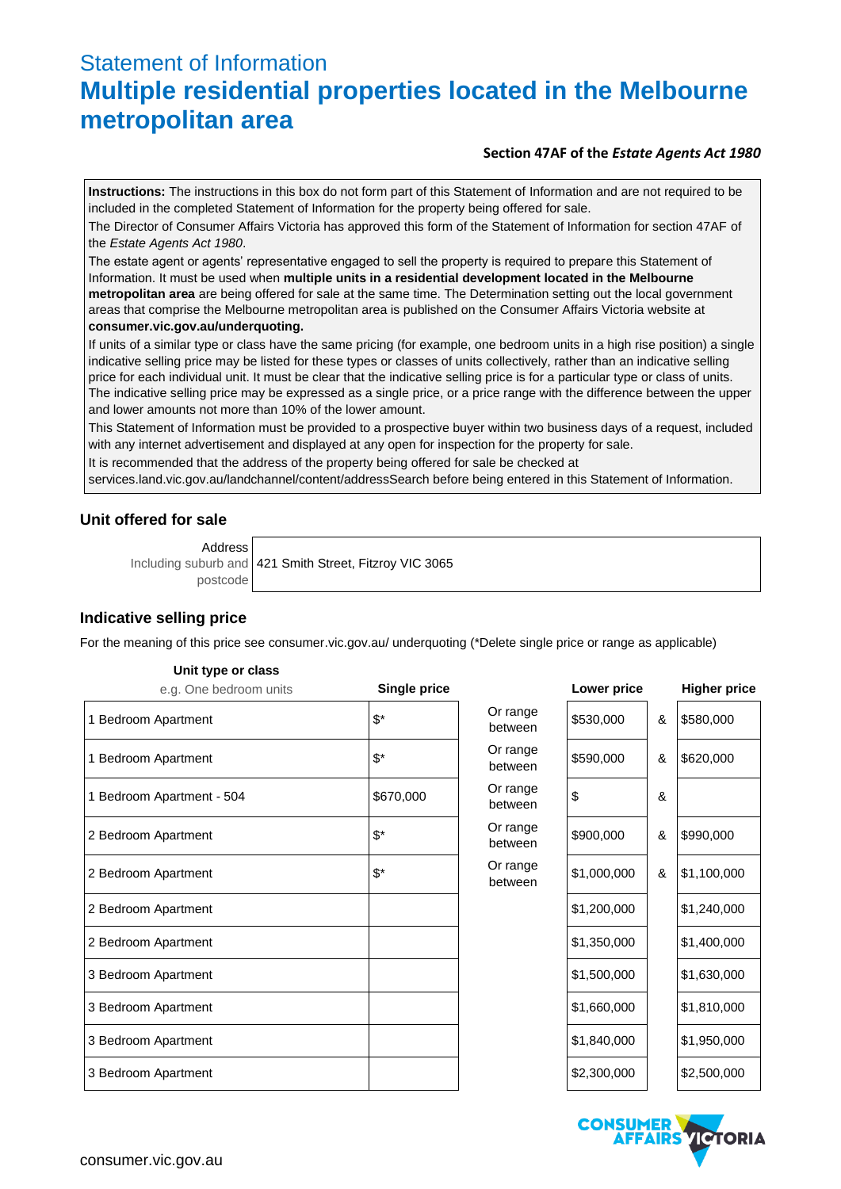# Statement of Information **Multiple residential properties located in the Melbourne metropolitan area**

#### **Section 47AF of the** *Estate Agents Act 1980*

**Instructions:** The instructions in this box do not form part of this Statement of Information and are not required to be included in the completed Statement of Information for the property being offered for sale.

The Director of Consumer Affairs Victoria has approved this form of the Statement of Information for section 47AF of the *Estate Agents Act 1980*.

The estate agent or agents' representative engaged to sell the property is required to prepare this Statement of Information. It must be used when **multiple units in a residential development located in the Melbourne metropolitan area** are being offered for sale at the same time. The Determination setting out the local government areas that comprise the Melbourne metropolitan area is published on the Consumer Affairs Victoria website at **consumer.vic.gov.au/underquoting.**

If units of a similar type or class have the same pricing (for example, one bedroom units in a high rise position) a single indicative selling price may be listed for these types or classes of units collectively, rather than an indicative selling price for each individual unit. It must be clear that the indicative selling price is for a particular type or class of units. The indicative selling price may be expressed as a single price, or a price range with the difference between the upper and lower amounts not more than 10% of the lower amount.

This Statement of Information must be provided to a prospective buyer within two business days of a request, included with any internet advertisement and displayed at any open for inspection for the property for sale.

It is recommended that the address of the property being offered for sale be checked at

services.land.vic.gov.au/landchannel/content/addressSearch before being entered in this Statement of Information.

#### **Unit offered for sale**

Address

Including suburb and | 421 Smith Street, Fitzroy VIC 3065 postcode

### **Indicative selling price**

For the meaning of this price see consumer.vic.gov.au/ underquoting (\*Delete single price or range as applicable)

#### **Unit type or class**

| e.g. One bedroom units    | Single price   |                     | Lower price |   | <b>Higher price</b> |
|---------------------------|----------------|---------------------|-------------|---|---------------------|
| 1 Bedroom Apartment       | \$*            | Or range<br>between | \$530,000   | & | \$580,000           |
| 1 Bedroom Apartment       | \$*            | Or range<br>between | \$590,000   | & | \$620,000           |
| 1 Bedroom Apartment - 504 | \$670,000      | Or range<br>between | \$          | & |                     |
| 2 Bedroom Apartment       | \$*            | Or range<br>between | \$900,000   | & | \$990,000           |
| 2 Bedroom Apartment       | $\mathbb{S}^*$ | Or range<br>between | \$1,000,000 | & | \$1,100,000         |
| 2 Bedroom Apartment       |                |                     | \$1,200,000 |   | \$1,240,000         |
| 2 Bedroom Apartment       |                |                     | \$1,350,000 |   | \$1,400,000         |
| 3 Bedroom Apartment       |                |                     | \$1,500,000 |   | \$1,630,000         |
| 3 Bedroom Apartment       |                |                     | \$1,660,000 |   | \$1,810,000         |
| 3 Bedroom Apartment       |                |                     | \$1,840,000 |   | \$1,950,000         |
| 3 Bedroom Apartment       |                |                     | \$2,300,000 |   | \$2,500,000         |

|                     | Lower price |   | <b>Higher price</b> |  |  |
|---------------------|-------------|---|---------------------|--|--|
| Or range<br>between | \$530,000   | & | \$580,000           |  |  |
| Or range<br>between | \$590,000   | & | \$620,000           |  |  |
| Or range<br>between | \$          | & |                     |  |  |
| Or range<br>between | \$900,000   | & | \$990,000           |  |  |
| Or range<br>between | \$1,000,000 | & | \$1,100,000         |  |  |
|                     | \$1,200,000 |   | \$1,240,000         |  |  |
|                     | \$1,350,000 |   | \$1,400,000         |  |  |
|                     | \$1,500,000 |   | \$1,630,000         |  |  |
|                     | \$1,660,000 |   | \$1,810,000         |  |  |
|                     | \$1,840,000 |   | \$1,950,000         |  |  |
|                     | \$2,300,000 |   | \$2,500,000         |  |  |

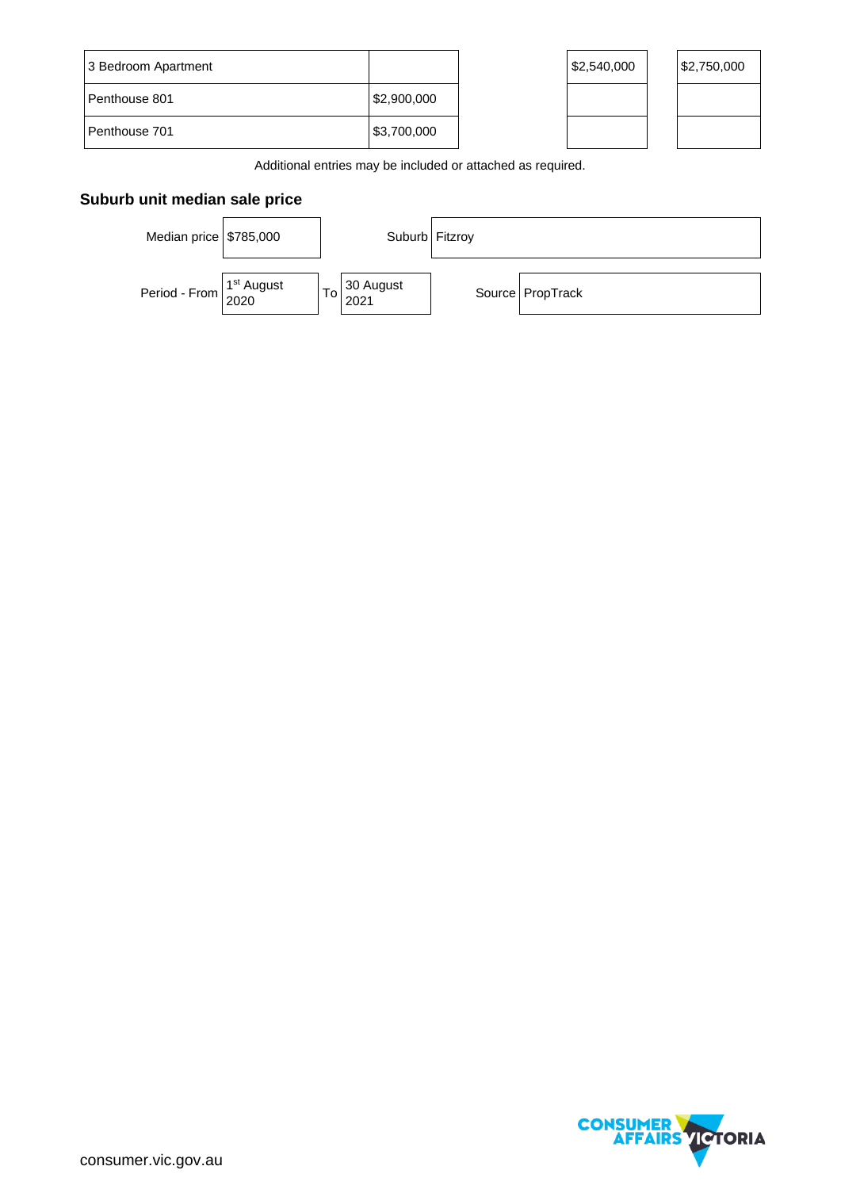| 3 Bedroom Apartment |             | \$2,540,000 | \$2,750,000 |
|---------------------|-------------|-------------|-------------|
| l Penthouse 801     | \$2,900,000 |             |             |
| l Penthouse 701     | \$3,700,000 |             |             |

Additional entries may be included or attached as required.

# **Suburb unit median sale price**